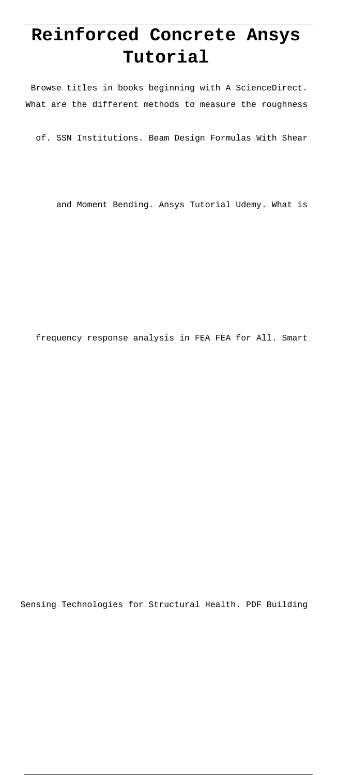# **Reinforced Concrete Ansys Tutorial**

Browse titles in books beginning with A ScienceDirect. What are the different methods to measure the roughness

of. SSN Institutions. Beam Design Formulas With Shear

and Moment Bending. Ansys Tutorial Udemy. What is

frequency response analysis in FEA FEA for All. Smart

Sensing Technologies for Structural Health. PDF Building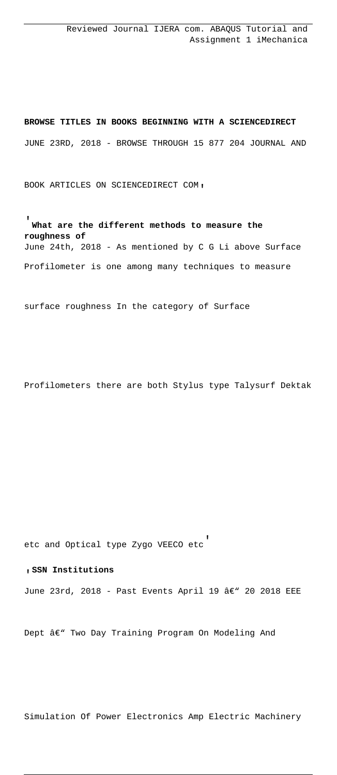**BROWSE TITLES IN BOOKS BEGINNING WITH A SCIENCEDIRECT** JUNE 23RD, 2018 - BROWSE THROUGH 15 877 204 JOURNAL AND

BOOK ARTICLES ON SCIENCEDIRECT COM'

'**What are the different methods to measure the roughness of** June 24th, 2018 - As mentioned by C G Li above Surface Profilometer is one among many techniques to measure

surface roughness In the category of Surface

Profilometers there are both Stylus type Talysurf Dektak

etc and Optical type Zygo VEECO etc'

#### '**SSN Institutions**

June 23rd, 2018 - Past Events April 19  $\hat{a}\in$ " 20 2018 EEE

Dept  $\hat{a}\in$ " Two Day Training Program On Modeling And

Simulation Of Power Electronics Amp Electric Machinery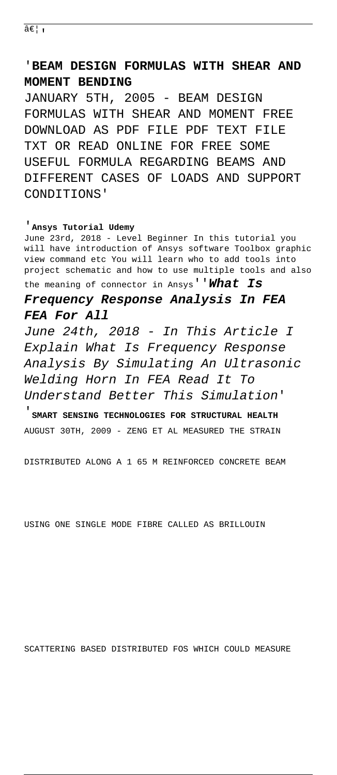… <sub>ı</sub>

## '**BEAM DESIGN FORMULAS WITH SHEAR AND MOMENT BENDING**

JANUARY 5TH, 2005 - BEAM DESIGN FORMULAS WITH SHEAR AND MOMENT FREE DOWNLOAD AS PDF FILE PDF TEXT FILE TXT OR READ ONLINE FOR FREE SOME USEFUL FORMULA REGARDING BEAMS AND DIFFERENT CASES OF LOADS AND SUPPORT CONDITIONS'

#### '**Ansys Tutorial Udemy**

June 23rd, 2018 - Level Beginner In this tutorial you will have introduction of Ansys software Toolbox graphic view command etc You will learn who to add tools into project schematic and how to use multiple tools and also the meaning of connector in Ansys''**What Is**

### **Frequency Response Analysis In FEA FEA For All**

June 24th, 2018 - In This Article I Explain What Is Frequency Response Analysis By Simulating An Ultrasonic Welding Horn In FEA Read It To Understand Better This Simulation'

'**SMART SENSING TECHNOLOGIES FOR STRUCTURAL HEALTH** AUGUST 30TH, 2009 - ZENG ET AL MEASURED THE STRAIN

DISTRIBUTED ALONG A 1 65 M REINFORCED CONCRETE BEAM

USING ONE SINGLE MODE FIBRE CALLED AS BRILLOUIN

SCATTERING BASED DISTRIBUTED FOS WHICH COULD MEASURE